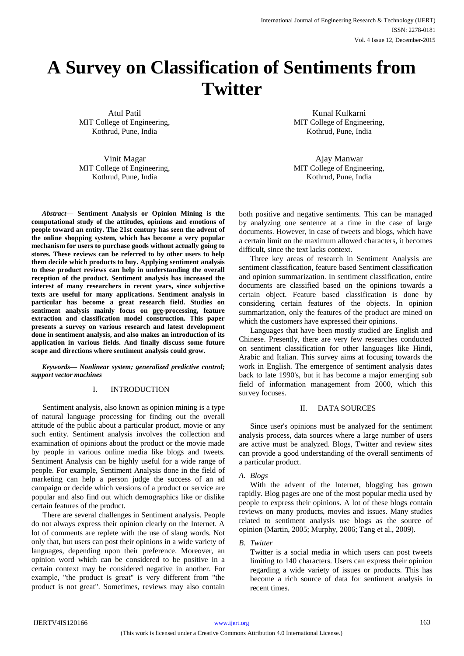# **A Survey on Classification of Sentiments from Twitter**

Atul Patil MIT College of Engineering, Kothrud, Pune, India

Vinit Magar MIT College of Engineering, Kothrud, Pune, India

*Abstract***— Sentiment Analysis or Opinion Mining is the computational study of the attitudes, opinions and emotions of people toward an entity. The 21st century has seen the advent of the online shopping system, which has become a very popular mechanism for users to purchase goods without actually going to stores. These reviews can be referred to by other users to help them decide which products to buy. Applying sentiment analysis to these product reviews can help in understanding the overall reception of the product. Sentiment analysis has increased the interest of many researchers in recent years, since subjective texts are useful for many applications. Sentiment analysis in particular has become a great research field. Studies on sentiment analysis mainly focus on pre-processing, feature extraction and classification model construction. This paper presents a survey on various research and latest development done in sentiment analysis, and also makes an introduction of its application in various fields. And finally discuss some future scope and directions where sentiment analysis could grow.**

*Keywords— Nonlinear system; generalized predictive control; support vector machines*

## I. INTRODUCTION

Sentiment analysis, also known as opinion mining is a type of natural language processing for finding out the overall attitude of the public about a particular product, movie or any such entity. Sentiment analysis involves the collection and examination of opinions about the product or the movie made by people in various online media like blogs and tweets. Sentiment Analysis can be highly useful for a wide range of people. For example, Sentiment Analysis done in the field of marketing can help a person judge the success of an ad campaign or decide which versions of a product or service are popular and also find out which demographics like or dislike certain features of the product.

There are several challenges in Sentiment analysis. People do not always express their opinion clearly on the Internet. A lot of comments are replete with the use of slang words. Not only that, but users can post their opinions in a wide variety of languages, depending upon their preference. Moreover, an opinion word which can be considered to be positive in a certain context may be considered negative in another. For example, "the product is great" is very different from "the product is not great". Sometimes, reviews may also contain

Kunal Kulkarni MIT College of Engineering, Kothrud, Pune, India

Ajay Manwar MIT College of Engineering, Kothrud, Pune, India

both positive and negative sentiments. This can be managed by analyzing one sentence at a time in the case of large documents. However, in case of tweets and blogs, which have a certain limit on the maximum allowed characters, it becomes difficult, since the text lacks context.

Three key areas of research in Sentiment Analysis are sentiment classification, feature based Sentiment classification and opinion summarization. In sentiment classification, entire documents are classified based on the opinions towards a certain object. Feature based classification is done by considering certain features of the objects. In opinion summarization, only the features of the product are mined on which the customers have expressed their opinions.

Languages that have been mostly studied are English and Chinese. Presently, there are very few researches conducted on sentiment classification for other languages like Hindi, Arabic and Italian. This survey aims at focusing towards the work in English. The emergence of sentiment analysis dates back to late 1990's, but it has become a major emerging sub field of information management from 2000, which this survey focuses.

## II. DATA SOURCES

Since user's opinions must be analyzed for the sentiment analysis process, data sources where a large number of users are active must be analyzed. Blogs, Twitter and review sites can provide a good understanding of the overall sentiments of a particular product.

## *A. Blogs*

With the advent of the Internet, blogging has grown rapidly. Blog pages are one of the most popular media used by people to express their opinions. A lot of these blogs contain reviews on many products, movies and issues. Many studies related to sentiment analysis use blogs as the source of opinion (Martin, 2005; Murphy, 2006; Tang et al., 2009).

*B. Twitter*

Twitter is a social media in which users can post tweets limiting to 140 characters. Users can express their opinion regarding a wide variety of issues or products. This has become a rich source of data for sentiment analysis in recent times.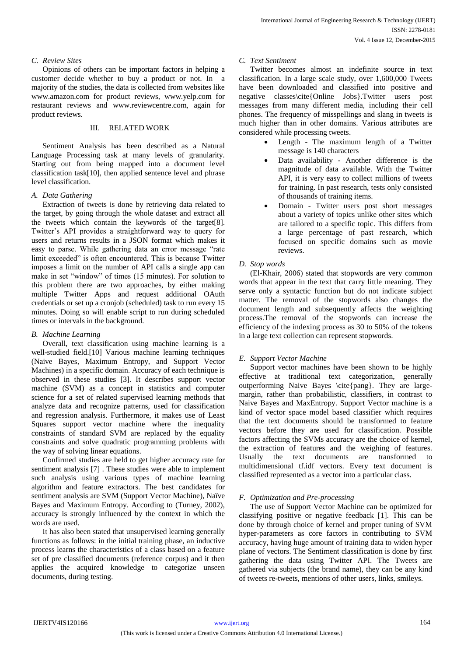## *C. Review Sites*

Opinions of others can be important factors in helping a customer decide whether to buy a product or not. In majority of the studies, the data is collected from websites like www.amazon.com for product reviews, www.yelp.com for restaurant reviews and www.reviewcentre.com, again for product reviews.

### III. RELATED WORK

Sentiment Analysis has been described as a Natural Language Processing task at many levels of granularity. Starting out from being mapped into a document level classification task[10], then applied sentence level and phrase level classification.

### *A. Data Gathering*

Extraction of tweets is done by retrieving data related to the target, by going through the whole dataset and extract all the tweets which contain the keywords of the target[8]. Twitter's API provides a straightforward way to query for users and returns results in a JSON format which makes it easy to parse. While gathering data an error message "rate limit exceeded" is often encountered. This is because Twitter imposes a limit on the number of API calls a single app can make in set "window" of times (15 minutes). For solution to this problem there are two approaches, by either making multiple Twitter Apps and request additional OAuth credentials or set up a cronjob (scheduled) task to run every 15 minutes. Doing so will enable script to run during scheduled times or intervals in the background.

## *B. Machine Learning*

Overall, text classification using machine learning is a well-studied field.[10] Various machine learning techniques (Naive Bayes, Maximum Entropy, and Support Vector Machines) in a specific domain. Accuracy of each technique is observed in these studies [3]. It describes support vector machine (SVM) as a concept in statistics and computer science for a set of related supervised learning methods that analyze data and recognize patterns, used for classification and regression analysis. Furthermore, it makes use of Least Squares support vector machine where the inequality constraints of standard SVM are replaced by the equality constraints and solve quadratic programming problems with the way of solving linear equations.

Confirmed studies are held to get higher accuracy rate for sentiment analysis [7] . These studies were able to implement such analysis using various types of machine learning algorithm and feature extractors. The best candidates for sentiment analysis are SVM (Support Vector Machine), Naïve Bayes and Maximum Entropy. According to (Turney, 2002), accuracy is strongly influenced by the context in which the words are used.

It has also been stated that unsupervised learning generally functions as follows: in the initial training phase, an inductive process learns the characteristics of a class based on a feature set of pre classified documents (reference corpus) and it then applies the acquired knowledge to categorize unseen documents, during testing.

### *C. Text Sentiment*

Twitter becomes almost an indefinite source in text classification. In a large scale study, over 1,600,000 Tweets have been downloaded and classified into positive and negative classes\cite{Online Jobs}.Twitter users post messages from many different media, including their cell phones. The frequency of misspellings and slang in tweets is much higher than in other domains. Various attributes are considered while processing tweets.

- Length The maximum length of a Twitter message is 140 characters
- Data availability Another difference is the magnitude of data available. With the Twitter API, it is very easy to collect millions of tweets for training. In past research, tests only consisted of thousands of training items.
- Domain Twitter users post short messages about a variety of topics unlike other sites which are tailored to a specific topic. This differs from a large percentage of past research, which focused on specific domains such as movie reviews.

## *D. Stop words*

(El-Khair, 2006) stated that stopwords are very common words that appear in the text that carry little meaning. They serve only a syntactic function but do not indicate subject matter. The removal of the stopwords also changes the document length and subsequently affects the weighting process.The removal of the stopwords can increase the efficiency of the indexing process as 30 to 50% of the tokens in a large text collection can represent stopwords.

## *E. Support Vector Machine*

Support vector machines have been shown to be highly effective at traditional text categorization, generally outperforming Naive Bayes \cite{pang}. They are largemargin, rather than probabilistic, classifiers, in contrast to Naive Bayes and MaxEntropy. Support Vector machine is a kind of vector space model based classifier which requires that the text documents should be transformed to feature vectors before they are used for classification. Possible factors affecting the SVMs accuracy are the choice of kernel, the extraction of features and the weighing of features. Usually the text documents are transformed to multidimensional tf.idf vectors. Every text document is classified represented as a vector into a particular class.

## *F. Optimization and Pre-processing*

The use of Support Vector Machine can be optimized for classifying positive or negative feedback [1]. This can be done by through choice of kernel and proper tuning of SVM hyper-parameters as core factors in contributing to SVM accuracy, having huge amount of training data to widen hyper plane of vectors. The Sentiment classification is done by first gathering the data using Twitter API. The Tweets are gathered via subjects (the brand name), they can be any kind of tweets re-tweets, mentions of other users, links, smileys.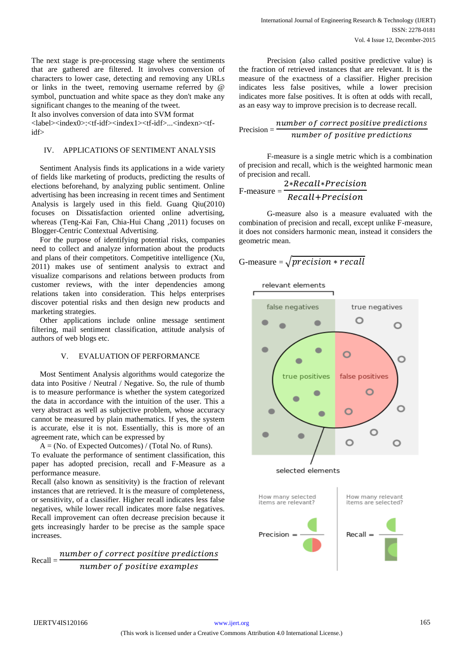The next stage is pre-processing stage where the sentiments that are gathered are filtered. It involves conversion of characters to lower case, detecting and removing any URLs or links in the tweet, removing username referred by @ symbol, punctuation and white space as they don't make any significant changes to the meaning of the tweet.

It also involves conversion of data into SVM format <label><index0>:<tf-idf><index1><tf-idf>...<indexn><tf-

idf>

## IV. APPLICATIONS OF SENTIMENT ANALYSIS

Sentiment Analysis finds its applications in a wide variety of fields like marketing of products, predicting the results of elections beforehand, by analyzing public sentiment. Online advertising has been increasing in recent times and Sentiment Analysis is largely used in this field. Guang Qiu(2010) focuses on Dissatisfaction oriented online advertising, whereas (Teng-Kai Fan, Chia-Hui Chang ,2011) focuses on Blogger-Centric Contextual Advertising.

For the purpose of identifying potential risks, companies need to collect and analyze information about the products and plans of their competitors. Competitive intelligence (Xu, 2011) makes use of sentiment analysis to extract and visualize comparisons and relations between products from customer reviews, with the inter dependencies among relations taken into consideration. This helps enterprises discover potential risks and then design new products and marketing strategies.

Other applications include online message sentiment filtering, mail sentiment classification, attitude analysis of authors of web blogs etc.

## V. EVALUATION OF PERFORMANCE

Most Sentiment Analysis algorithms would categorize the data into Positive / Neutral / Negative. So, the rule of thumb is to measure performance is whether the system categorized the data in accordance with the intuition of the user. This a very abstract as well as subjective problem, whose accuracy cannot be measured by plain mathematics. If yes, the system is accurate, else it is not. Essentially, this is more of an agreement rate, which can be expressed by

 $A = (No. of Expected Outcomes) / (Total No. of Runs).$ 

To evaluate the performance of sentiment classification, this paper has adopted precision, recall and F-Measure as a performance measure.

Recall (also known as sensitivity) is the fraction of relevant instances that are retrieved. It is the measure of completeness, or sensitivity, of a classifier. Higher recall indicates less false negatives, while lower recall indicates more false negatives. Recall improvement can often decrease precision because it gets increasingly harder to be precise as the sample space increases.

$$
Recall = \frac{number\ of\ correct\ positive\ predictions}{number\ of\ positive\ examples}
$$

Precision (also called positive predictive value) is the fraction of retrieved instances that are relevant. It is the measure of the exactness of a classifier. Higher precision indicates less false positives, while a lower precision indicates more false positives. It is often at odds with recall, as an easy way to improve precision is to decrease recall.

$$
Precision = \frac{number\ of\ correct\ positive\ predictions}{number\ of\ positive\ predictions}
$$

F-measure is a single metric which is a combination of precision and recall, which is the weighted harmonic mean of precision and recall.

$$
F-measure = \frac{2*Recall*Precision}{Recall+Precision}
$$

G-measure also is a measure evaluated with the combination of precision and recall, except unlike F-measure, it does not considers harmonic mean, instead it considers the geometric mean.

G-measure = 
$$
\sqrt{precision * recall}
$$

relevant elements